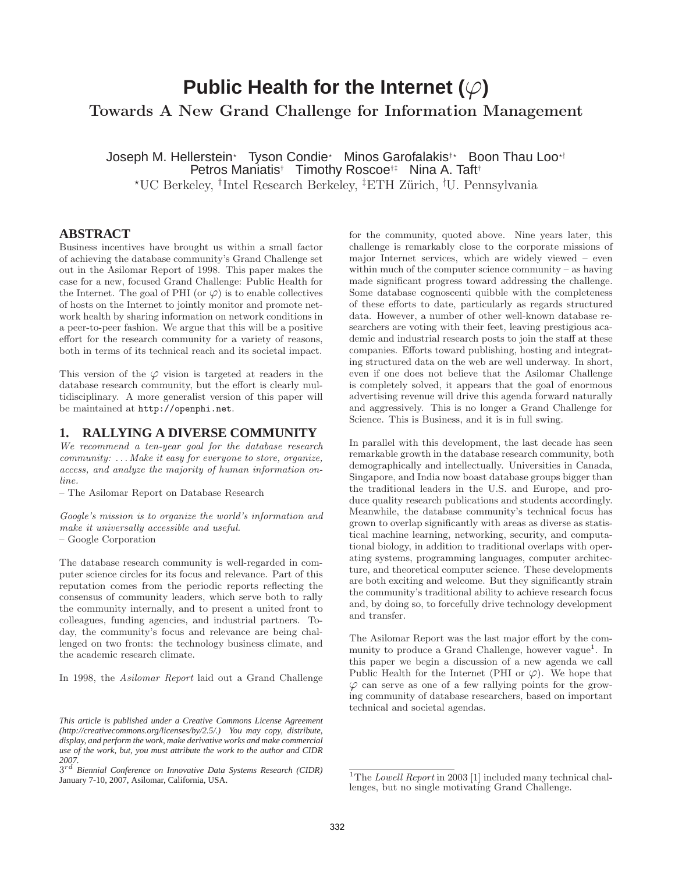# **Public Health for the Internet (** $\varphi$ **)** Towards A New Grand Challenge for Information Management

Joseph M. Hellerstein<sup>★</sup> Tyson Condie<sup>★</sup> Minos Garofalakis<sup>†★</sup> Boon Thau Loo<sup>★</sup> Petros Maniatis† Timothy Roscoe†‡ Nina A. Taft†

\*UC Berkeley, <sup>†</sup>Intel Research Berkeley, <sup>‡</sup>ETH Zürich, <sup>†</sup>U. Pennsylvania

### **ABSTRACT**

Business incentives have brought us within a small factor of achieving the database community's Grand Challenge set out in the Asilomar Report of 1998. This paper makes the case for a new, focused Grand Challenge: Public Health for the Internet. The goal of PHI (or  $\varphi$ ) is to enable collectives of hosts on the Internet to jointly monitor and promote network health by sharing information on network conditions in a peer-to-peer fashion. We argue that this will be a positive effort for the research community for a variety of reasons, both in terms of its technical reach and its societal impact.

This version of the  $\varphi$  vision is targeted at readers in the database research community, but the effort is clearly multidisciplinary. A more generalist version of this paper will be maintained at http://openphi.net.

### **1. RALLYING A DIVERSE COMMUNITY**

We recommend a ten-year goal for the database research community: . . . Make it easy for everyone to store, organize, access, and analyze the majority of human information online.

– The Asilomar Report on Database Research

Google's mission is to organize the world's information and make it universally accessible and useful.

– Google Corporation

The database research community is well-regarded in computer science circles for its focus and relevance. Part of this reputation comes from the periodic reports reflecting the consensus of community leaders, which serve both to rally the community internally, and to present a united front to colleagues, funding agencies, and industrial partners. Today, the community's focus and relevance are being challenged on two fronts: the technology business climate, and the academic research climate.

In 1998, the Asilomar Report laid out a Grand Challenge

3 rd *Biennial Conference on Innovative Data Systems Research (CIDR)* January 7-10, 2007, Asilomar, California, USA.

for the community, quoted above. Nine years later, this challenge is remarkably close to the corporate missions of major Internet services, which are widely viewed – even within much of the computer science community – as having made significant progress toward addressing the challenge. Some database cognoscenti quibble with the completeness of these efforts to date, particularly as regards structured data. However, a number of other well-known database researchers are voting with their feet, leaving prestigious academic and industrial research posts to join the staff at these companies. Efforts toward publishing, hosting and integrating structured data on the web are well underway. In short, even if one does not believe that the Asilomar Challenge is completely solved, it appears that the goal of enormous advertising revenue will drive this agenda forward naturally and aggressively. This is no longer a Grand Challenge for Science. This is Business, and it is in full swing.

In parallel with this development, the last decade has seen remarkable growth in the database research community, both demographically and intellectually. Universities in Canada, Singapore, and India now boast database groups bigger than the traditional leaders in the U.S. and Europe, and produce quality research publications and students accordingly. Meanwhile, the database community's technical focus has grown to overlap significantly with areas as diverse as statistical machine learning, networking, security, and computational biology, in addition to traditional overlaps with operating systems, programming languages, computer architecture, and theoretical computer science. These developments are both exciting and welcome. But they significantly strain the community's traditional ability to achieve research focus and, by doing so, to forcefully drive technology development and transfer.

The Asilomar Report was the last major effort by the community to produce a Grand Challenge, however vague<sup>1</sup>. In this paper we begin a discussion of a new agenda we call Public Health for the Internet (PHI or  $\varphi$ ). We hope that  $\varphi$  can serve as one of a few rallying points for the growing community of database researchers, based on important technical and societal agendas.

*This article is published under a Creative Commons License Agreement (http://creativecommons.org/licenses/by/2.5/.) You may copy, distribute, display, and perform the work, make derivative works and make commercial use of the work, but, you must attribute the work to the author and CIDR 2007.*

<sup>&</sup>lt;sup>1</sup>The *Lowell Report* in 2003 [1] included many technical challenges, but no single motivating Grand Challenge.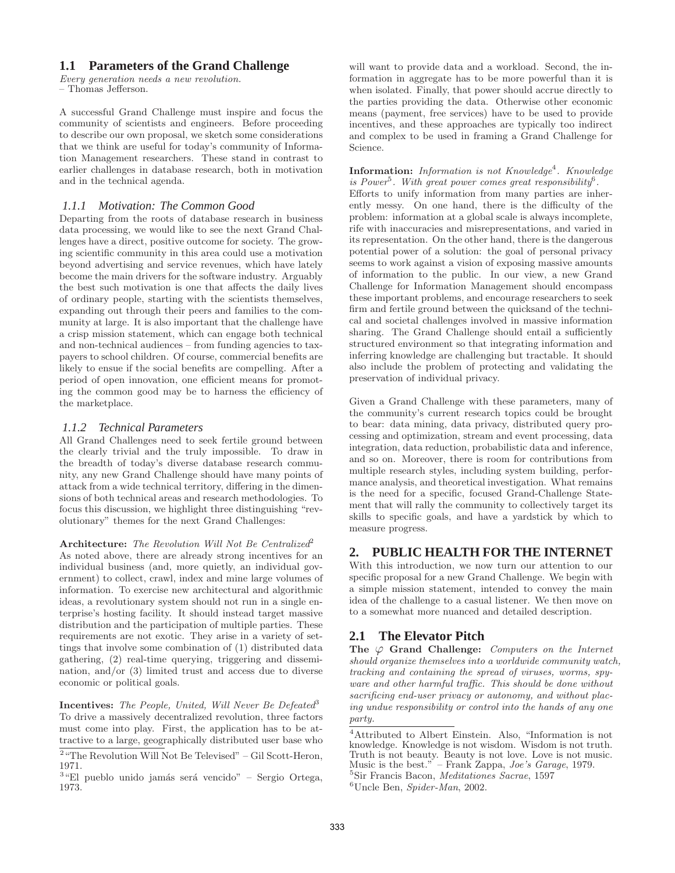### **1.1 Parameters of the Grand Challenge**

Every generation needs a new revolution. – Thomas Jefferson.

A successful Grand Challenge must inspire and focus the community of scientists and engineers. Before proceeding to describe our own proposal, we sketch some considerations that we think are useful for today's community of Information Management researchers. These stand in contrast to earlier challenges in database research, both in motivation and in the technical agenda.

### *1.1.1 Motivation: The Common Good*

Departing from the roots of database research in business data processing, we would like to see the next Grand Challenges have a direct, positive outcome for society. The growing scientific community in this area could use a motivation beyond advertising and service revenues, which have lately become the main drivers for the software industry. Arguably the best such motivation is one that affects the daily lives of ordinary people, starting with the scientists themselves, expanding out through their peers and families to the community at large. It is also important that the challenge have a crisp mission statement, which can engage both technical and non-technical audiences – from funding agencies to taxpayers to school children. Of course, commercial benefits are likely to ensue if the social benefits are compelling. After a period of open innovation, one efficient means for promoting the common good may be to harness the efficiency of the marketplace.

### *1.1.2 Technical Parameters*

All Grand Challenges need to seek fertile ground between the clearly trivial and the truly impossible. To draw in the breadth of today's diverse database research community, any new Grand Challenge should have many points of attack from a wide technical territory, differing in the dimensions of both technical areas and research methodologies. To focus this discussion, we highlight three distinguishing "revolutionary" themes for the next Grand Challenges:

Architecture: The Revolution Will Not Be Centralized<sup>2</sup> As noted above, there are already strong incentives for an individual business (and, more quietly, an individual government) to collect, crawl, index and mine large volumes of information. To exercise new architectural and algorithmic ideas, a revolutionary system should not run in a single enterprise's hosting facility. It should instead target massive distribution and the participation of multiple parties. These requirements are not exotic. They arise in a variety of settings that involve some combination of (1) distributed data gathering, (2) real-time querying, triggering and dissemination, and/or (3) limited trust and access due to diverse economic or political goals.

Incentives: The People, United, Will Never Be Defeated<sup>3</sup> To drive a massively decentralized revolution, three factors must come into play. First, the application has to be attractive to a large, geographically distributed user base who

will want to provide data and a workload. Second, the information in aggregate has to be more powerful than it is when isolated. Finally, that power should accrue directly to the parties providing the data. Otherwise other economic means (payment, free services) have to be used to provide incentives, and these approaches are typically too indirect and complex to be used in framing a Grand Challenge for Science.

### **Information:** Information is not Knowledge<sup>4</sup>. Knowledge is Power<sup>5</sup>. With great power comes great responsibility<sup>6</sup>.

Efforts to unify information from many parties are inherently messy. On one hand, there is the difficulty of the problem: information at a global scale is always incomplete, rife with inaccuracies and misrepresentations, and varied in its representation. On the other hand, there is the dangerous potential power of a solution: the goal of personal privacy seems to work against a vision of exposing massive amounts of information to the public. In our view, a new Grand Challenge for Information Management should encompass these important problems, and encourage researchers to seek firm and fertile ground between the quicksand of the technical and societal challenges involved in massive information sharing. The Grand Challenge should entail a sufficiently structured environment so that integrating information and inferring knowledge are challenging but tractable. It should also include the problem of protecting and validating the preservation of individual privacy.

Given a Grand Challenge with these parameters, many of the community's current research topics could be brought to bear: data mining, data privacy, distributed query processing and optimization, stream and event processing, data integration, data reduction, probabilistic data and inference, and so on. Moreover, there is room for contributions from multiple research styles, including system building, performance analysis, and theoretical investigation. What remains is the need for a specific, focused Grand-Challenge Statement that will rally the community to collectively target its skills to specific goals, and have a yardstick by which to measure progress.

# **2. PUBLIC HEALTH FOR THE INTERNET**

With this introduction, we now turn our attention to our specific proposal for a new Grand Challenge. We begin with a simple mission statement, intended to convey the main idea of the challenge to a casual listener. We then move on to a somewhat more nuanced and detailed description.

# **2.1 The Elevator Pitch**

The  $\varphi$  Grand Challenge: *Computers on the Internet* should organize themselves into a worldwide community watch, tracking and containing the spread of viruses, worms, spyware and other harmful traffic. This should be done without sacrificing end-user privacy or autonomy, and without placing undue responsibility or control into the hands of any one party.

<sup>&</sup>lt;sup>2</sup> "The Revolution Will Not Be Televised" – Gil Scott-Heron, 1971.

<sup>&</sup>lt;sup>3</sup> "El pueblo unido jamás será vencido" - Sergio Ortega, 1973.

<sup>4</sup>Attributed to Albert Einstein. Also, "Information is not knowledge. Knowledge is not wisdom. Wisdom is not truth. Truth is not beauty. Beauty is not love. Love is not music. Music is the best." – Frank Zappa, Joe's Garage, 1979. <sup>5</sup>Sir Francis Bacon, *Meditationes Sacrae*, 1597

<sup>6</sup>Uncle Ben, Spider-Man, 2002.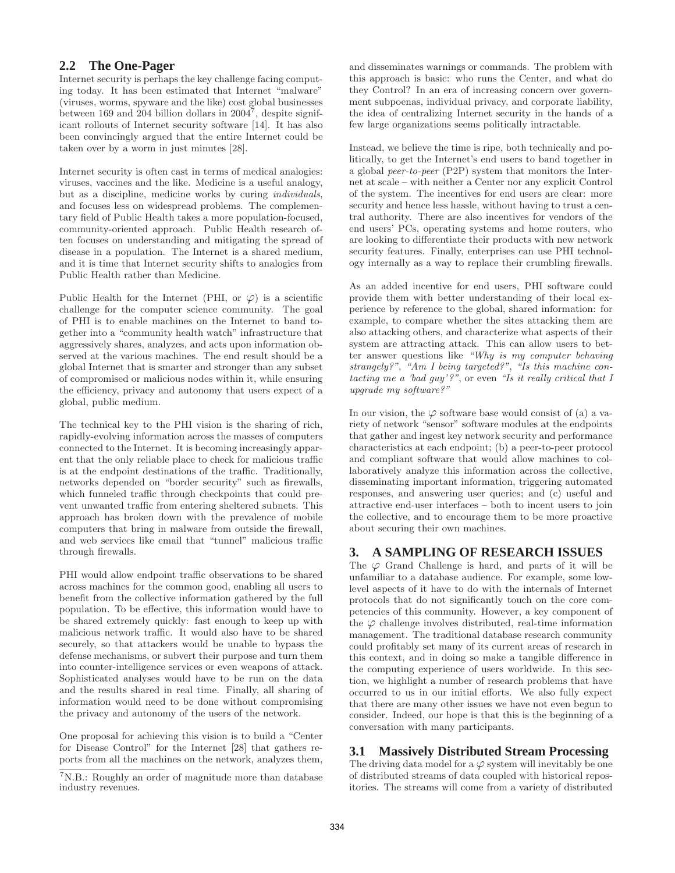### **2.2 The One-Pager**

Internet security is perhaps the key challenge facing computing today. It has been estimated that Internet "malware" (viruses, worms, spyware and the like) cost global businesses between 169 and 204 billion dollars in  $2004^7$ , despite significant rollouts of Internet security software [14]. It has also been convincingly argued that the entire Internet could be taken over by a worm in just minutes [28].

Internet security is often cast in terms of medical analogies: viruses, vaccines and the like. Medicine is a useful analogy, but as a discipline, medicine works by curing individuals, and focuses less on widespread problems. The complementary field of Public Health takes a more population-focused, community-oriented approach. Public Health research often focuses on understanding and mitigating the spread of disease in a population. The Internet is a shared medium, and it is time that Internet security shifts to analogies from Public Health rather than Medicine.

Public Health for the Internet (PHI, or  $\varphi$ ) is a scientific challenge for the computer science community. The goal of PHI is to enable machines on the Internet to band together into a "community health watch" infrastructure that aggressively shares, analyzes, and acts upon information observed at the various machines. The end result should be a global Internet that is smarter and stronger than any subset of compromised or malicious nodes within it, while ensuring the efficiency, privacy and autonomy that users expect of a global, public medium.

The technical key to the PHI vision is the sharing of rich, rapidly-evolving information across the masses of computers connected to the Internet. It is becoming increasingly apparent that the only reliable place to check for malicious traffic is at the endpoint destinations of the traffic. Traditionally, networks depended on "border security" such as firewalls, which funneled traffic through checkpoints that could prevent unwanted traffic from entering sheltered subnets. This approach has broken down with the prevalence of mobile computers that bring in malware from outside the firewall, and web services like email that "tunnel" malicious traffic through firewalls.

PHI would allow endpoint traffic observations to be shared across machines for the common good, enabling all users to benefit from the collective information gathered by the full population. To be effective, this information would have to be shared extremely quickly: fast enough to keep up with malicious network traffic. It would also have to be shared securely, so that attackers would be unable to bypass the defense mechanisms, or subvert their purpose and turn them into counter-intelligence services or even weapons of attack. Sophisticated analyses would have to be run on the data and the results shared in real time. Finally, all sharing of information would need to be done without compromising the privacy and autonomy of the users of the network.

One proposal for achieving this vision is to build a "Center for Disease Control" for the Internet [28] that gathers reports from all the machines on the network, analyzes them, and disseminates warnings or commands. The problem with this approach is basic: who runs the Center, and what do they Control? In an era of increasing concern over government subpoenas, individual privacy, and corporate liability, the idea of centralizing Internet security in the hands of a few large organizations seems politically intractable.

Instead, we believe the time is ripe, both technically and politically, to get the Internet's end users to band together in a global peer-to-peer (P2P) system that monitors the Internet at scale – with neither a Center nor any explicit Control of the system. The incentives for end users are clear: more security and hence less hassle, without having to trust a central authority. There are also incentives for vendors of the end users' PCs, operating systems and home routers, who are looking to differentiate their products with new network security features. Finally, enterprises can use PHI technology internally as a way to replace their crumbling firewalls.

As an added incentive for end users, PHI software could provide them with better understanding of their local experience by reference to the global, shared information: for example, to compare whether the sites attacking them are also attacking others, and characterize what aspects of their system are attracting attack. This can allow users to better answer questions like "Why is my computer behaving strangely?", "Am I being targeted?", "Is this machine contacting me a 'bad guy'?", or even "Is it really critical that  $I$ upgrade my software?"

In our vision, the  $\varphi$  software base would consist of (a) a variety of network "sensor" software modules at the endpoints that gather and ingest key network security and performance characteristics at each endpoint; (b) a peer-to-peer protocol and compliant software that would allow machines to collaboratively analyze this information across the collective, disseminating important information, triggering automated responses, and answering user queries; and (c) useful and attractive end-user interfaces – both to incent users to join the collective, and to encourage them to be more proactive about securing their own machines.

# **3. A SAMPLING OF RESEARCH ISSUES**

The  $\varphi$  Grand Challenge is hard, and parts of it will be unfamiliar to a database audience. For example, some lowlevel aspects of it have to do with the internals of Internet protocols that do not significantly touch on the core competencies of this community. However, a key component of the  $\varphi$  challenge involves distributed, real-time information management. The traditional database research community could profitably set many of its current areas of research in this context, and in doing so make a tangible difference in the computing experience of users worldwide. In this section, we highlight a number of research problems that have occurred to us in our initial efforts. We also fully expect that there are many other issues we have not even begun to consider. Indeed, our hope is that this is the beginning of a conversation with many participants.

### **3.1 Massively Distributed Stream Processing**

The driving data model for a  $\varphi$  system will inevitably be one of distributed streams of data coupled with historical repositories. The streams will come from a variety of distributed

<sup>7</sup>N.B.: Roughly an order of magnitude more than database industry revenues.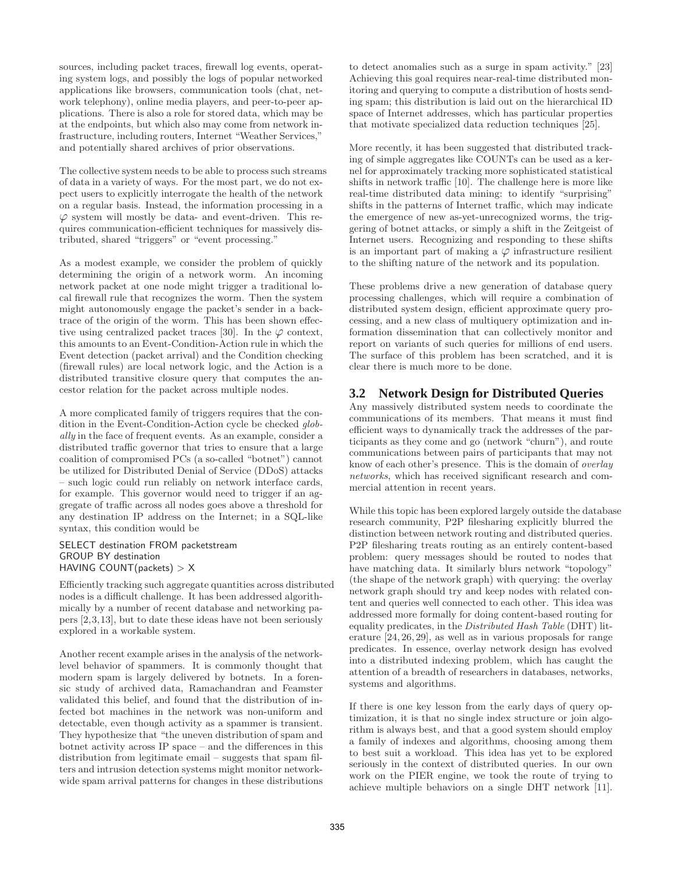sources, including packet traces, firewall log events, operating system logs, and possibly the logs of popular networked applications like browsers, communication tools (chat, network telephony), online media players, and peer-to-peer applications. There is also a role for stored data, which may be at the endpoints, but which also may come from network infrastructure, including routers, Internet "Weather Services," and potentially shared archives of prior observations.

The collective system needs to be able to process such streams of data in a variety of ways. For the most part, we do not expect users to explicitly interrogate the health of the network on a regular basis. Instead, the information processing in a  $\varphi$  system will mostly be data- and event-driven. This requires communication-efficient techniques for massively distributed, shared "triggers" or "event processing."

As a modest example, we consider the problem of quickly determining the origin of a network worm. An incoming network packet at one node might trigger a traditional local firewall rule that recognizes the worm. Then the system might autonomously engage the packet's sender in a backtrace of the origin of the worm. This has been shown effective using centralized packet traces [30]. In the  $\varphi$  context, this amounts to an Event-Condition-Action rule in which the Event detection (packet arrival) and the Condition checking (firewall rules) are local network logic, and the Action is a distributed transitive closure query that computes the ancestor relation for the packet across multiple nodes.

A more complicated family of triggers requires that the condition in the Event-Condition-Action cycle be checked globally in the face of frequent events. As an example, consider a distributed traffic governor that tries to ensure that a large coalition of compromised PCs (a so-called "botnet") cannot be utilized for Distributed Denial of Service (DDoS) attacks – such logic could run reliably on network interface cards, for example. This governor would need to trigger if an aggregate of traffic across all nodes goes above a threshold for any destination IP address on the Internet; in a SQL-like syntax, this condition would be

#### SELECT destination FROM packetstream GROUP BY destination HAVING COUNT(packets)  $> X$

Efficiently tracking such aggregate quantities across distributed nodes is a difficult challenge. It has been addressed algorithmically by a number of recent database and networking papers [2,3,13], but to date these ideas have not been seriously explored in a workable system.

Another recent example arises in the analysis of the networklevel behavior of spammers. It is commonly thought that modern spam is largely delivered by botnets. In a forensic study of archived data, Ramachandran and Feamster validated this belief, and found that the distribution of infected bot machines in the network was non-uniform and detectable, even though activity as a spammer is transient. They hypothesize that "the uneven distribution of spam and botnet activity across IP space – and the differences in this distribution from legitimate email – suggests that spam filters and intrusion detection systems might monitor networkwide spam arrival patterns for changes in these distributions to detect anomalies such as a surge in spam activity." [23] Achieving this goal requires near-real-time distributed monitoring and querying to compute a distribution of hosts sending spam; this distribution is laid out on the hierarchical ID space of Internet addresses, which has particular properties that motivate specialized data reduction techniques [25].

More recently, it has been suggested that distributed tracking of simple aggregates like COUNTs can be used as a kernel for approximately tracking more sophisticated statistical shifts in network traffic [10]. The challenge here is more like real-time distributed data mining: to identify "surprising" shifts in the patterns of Internet traffic, which may indicate the emergence of new as-yet-unrecognized worms, the triggering of botnet attacks, or simply a shift in the Zeitgeist of Internet users. Recognizing and responding to these shifts is an important part of making a  $\varphi$  infrastructure resilient to the shifting nature of the network and its population.

These problems drive a new generation of database query processing challenges, which will require a combination of distributed system design, efficient approximate query processing, and a new class of multiquery optimization and information dissemination that can collectively monitor and report on variants of such queries for millions of end users. The surface of this problem has been scratched, and it is clear there is much more to be done.

# **3.2 Network Design for Distributed Queries**

Any massively distributed system needs to coordinate the communications of its members. That means it must find efficient ways to dynamically track the addresses of the participants as they come and go (network "churn"), and route communications between pairs of participants that may not know of each other's presence. This is the domain of overlay networks, which has received significant research and commercial attention in recent years.

While this topic has been explored largely outside the database research community, P2P filesharing explicitly blurred the distinction between network routing and distributed queries. P2P filesharing treats routing as an entirely content-based problem: query messages should be routed to nodes that have matching data. It similarly blurs network "topology" (the shape of the network graph) with querying: the overlay network graph should try and keep nodes with related content and queries well connected to each other. This idea was addressed more formally for doing content-based routing for equality predicates, in the Distributed Hash Table (DHT) literature [24, 26, 29], as well as in various proposals for range predicates. In essence, overlay network design has evolved into a distributed indexing problem, which has caught the attention of a breadth of researchers in databases, networks, systems and algorithms.

If there is one key lesson from the early days of query optimization, it is that no single index structure or join algorithm is always best, and that a good system should employ a family of indexes and algorithms, choosing among them to best suit a workload. This idea has yet to be explored seriously in the context of distributed queries. In our own work on the PIER engine, we took the route of trying to achieve multiple behaviors on a single DHT network [11].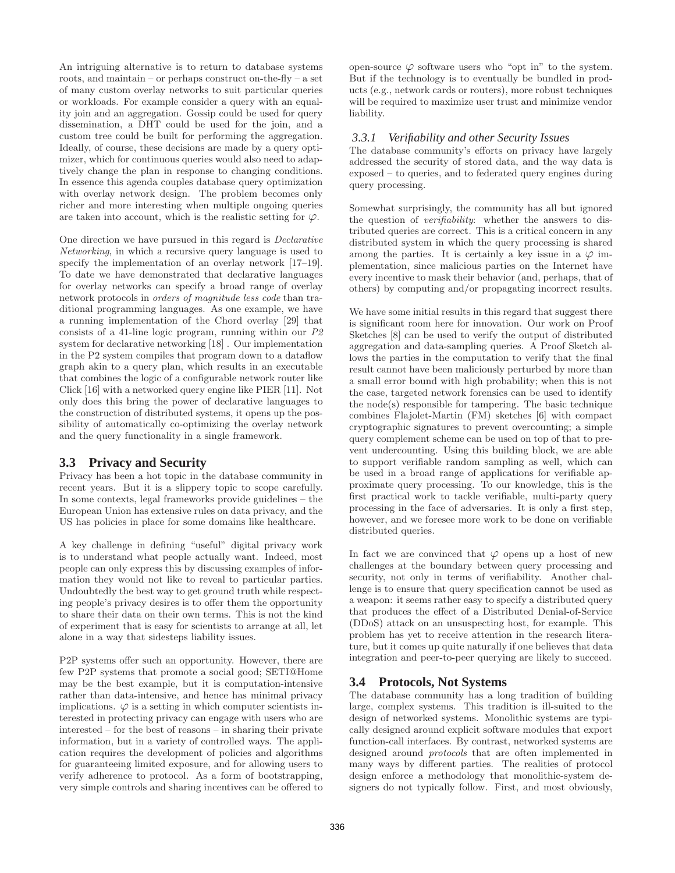An intriguing alternative is to return to database systems roots, and maintain – or perhaps construct on-the-fly – a set of many custom overlay networks to suit particular queries or workloads. For example consider a query with an equality join and an aggregation. Gossip could be used for query dissemination, a DHT could be used for the join, and a custom tree could be built for performing the aggregation. Ideally, of course, these decisions are made by a query optimizer, which for continuous queries would also need to adaptively change the plan in response to changing conditions. In essence this agenda couples database query optimization with overlay network design. The problem becomes only richer and more interesting when multiple ongoing queries are taken into account, which is the realistic setting for  $\varphi$ .

One direction we have pursued in this regard is Declarative Networking, in which a recursive query language is used to specify the implementation of an overlay network [17–19]. To date we have demonstrated that declarative languages for overlay networks can specify a broad range of overlay network protocols in orders of magnitude less code than traditional programming languages. As one example, we have a running implementation of the Chord overlay [29] that consists of a 41-line logic program, running within our P2 system for declarative networking [18] . Our implementation in the P2 system compiles that program down to a dataflow graph akin to a query plan, which results in an executable that combines the logic of a configurable network router like Click [16] with a networked query engine like PIER [11]. Not only does this bring the power of declarative languages to the construction of distributed systems, it opens up the possibility of automatically co-optimizing the overlay network and the query functionality in a single framework.

### **3.3 Privacy and Security**

Privacy has been a hot topic in the database community in recent years. But it is a slippery topic to scope carefully. In some contexts, legal frameworks provide guidelines – the European Union has extensive rules on data privacy, and the US has policies in place for some domains like healthcare.

A key challenge in defining "useful" digital privacy work is to understand what people actually want. Indeed, most people can only express this by discussing examples of information they would not like to reveal to particular parties. Undoubtedly the best way to get ground truth while respecting people's privacy desires is to offer them the opportunity to share their data on their own terms. This is not the kind of experiment that is easy for scientists to arrange at all, let alone in a way that sidesteps liability issues.

P2P systems offer such an opportunity. However, there are few P2P systems that promote a social good; SETI@Home may be the best example, but it is computation-intensive rather than data-intensive, and hence has minimal privacy implications.  $\varphi$  is a setting in which computer scientists interested in protecting privacy can engage with users who are interested – for the best of reasons – in sharing their private information, but in a variety of controlled ways. The application requires the development of policies and algorithms for guaranteeing limited exposure, and for allowing users to verify adherence to protocol. As a form of bootstrapping, very simple controls and sharing incentives can be offered to open-source  $\varphi$  software users who "opt in" to the system. But if the technology is to eventually be bundled in products (e.g., network cards or routers), more robust techniques will be required to maximize user trust and minimize vendor liability.

### *3.3.1 Verifiability and other Security Issues*

The database community's efforts on privacy have largely addressed the security of stored data, and the way data is exposed – to queries, and to federated query engines during query processing.

Somewhat surprisingly, the community has all but ignored the question of verifiability: whether the answers to distributed queries are correct. This is a critical concern in any distributed system in which the query processing is shared among the parties. It is certainly a key issue in a  $\varphi$  implementation, since malicious parties on the Internet have every incentive to mask their behavior (and, perhaps, that of others) by computing and/or propagating incorrect results.

We have some initial results in this regard that suggest there is significant room here for innovation. Our work on Proof Sketches [8] can be used to verify the output of distributed aggregation and data-sampling queries. A Proof Sketch allows the parties in the computation to verify that the final result cannot have been maliciously perturbed by more than a small error bound with high probability; when this is not the case, targeted network forensics can be used to identify the node(s) responsible for tampering. The basic technique combines Flajolet-Martin (FM) sketches [6] with compact cryptographic signatures to prevent overcounting; a simple query complement scheme can be used on top of that to prevent undercounting. Using this building block, we are able to support verifiable random sampling as well, which can be used in a broad range of applications for verifiable approximate query processing. To our knowledge, this is the first practical work to tackle verifiable, multi-party query processing in the face of adversaries. It is only a first step, however, and we foresee more work to be done on verifiable distributed queries.

In fact we are convinced that  $\varphi$  opens up a host of new challenges at the boundary between query processing and security, not only in terms of verifiability. Another challenge is to ensure that query specification cannot be used as a weapon: it seems rather easy to specify a distributed query that produces the effect of a Distributed Denial-of-Service (DDoS) attack on an unsuspecting host, for example. This problem has yet to receive attention in the research literature, but it comes up quite naturally if one believes that data integration and peer-to-peer querying are likely to succeed.

# **3.4 Protocols, Not Systems**

The database community has a long tradition of building large, complex systems. This tradition is ill-suited to the design of networked systems. Monolithic systems are typically designed around explicit software modules that export function-call interfaces. By contrast, networked systems are designed around protocols that are often implemented in many ways by different parties. The realities of protocol design enforce a methodology that monolithic-system designers do not typically follow. First, and most obviously,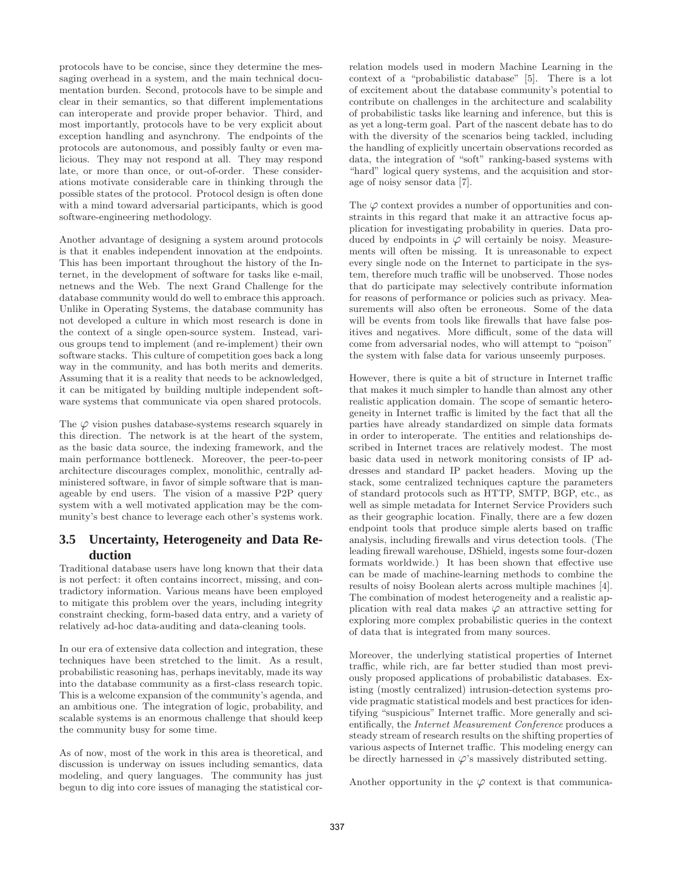protocols have to be concise, since they determine the messaging overhead in a system, and the main technical documentation burden. Second, protocols have to be simple and clear in their semantics, so that different implementations can interoperate and provide proper behavior. Third, and most importantly, protocols have to be very explicit about exception handling and asynchrony. The endpoints of the protocols are autonomous, and possibly faulty or even malicious. They may not respond at all. They may respond late, or more than once, or out-of-order. These considerations motivate considerable care in thinking through the possible states of the protocol. Protocol design is often done with a mind toward adversarial participants, which is good software-engineering methodology.

Another advantage of designing a system around protocols is that it enables independent innovation at the endpoints. This has been important throughout the history of the Internet, in the development of software for tasks like e-mail, netnews and the Web. The next Grand Challenge for the database community would do well to embrace this approach. Unlike in Operating Systems, the database community has not developed a culture in which most research is done in the context of a single open-source system. Instead, various groups tend to implement (and re-implement) their own software stacks. This culture of competition goes back a long way in the community, and has both merits and demerits. Assuming that it is a reality that needs to be acknowledged, it can be mitigated by building multiple independent software systems that communicate via open shared protocols.

The  $\varphi$  vision pushes database-systems research squarely in this direction. The network is at the heart of the system, as the basic data source, the indexing framework, and the main performance bottleneck. Moreover, the peer-to-peer architecture discourages complex, monolithic, centrally administered software, in favor of simple software that is manageable by end users. The vision of a massive P2P query system with a well motivated application may be the community's best chance to leverage each other's systems work.

# **3.5 Uncertainty, Heterogeneity and Data Reduction**

Traditional database users have long known that their data is not perfect: it often contains incorrect, missing, and contradictory information. Various means have been employed to mitigate this problem over the years, including integrity constraint checking, form-based data entry, and a variety of relatively ad-hoc data-auditing and data-cleaning tools.

In our era of extensive data collection and integration, these techniques have been stretched to the limit. As a result, probabilistic reasoning has, perhaps inevitably, made its way into the database community as a first-class research topic. This is a welcome expansion of the community's agenda, and an ambitious one. The integration of logic, probability, and scalable systems is an enormous challenge that should keep the community busy for some time.

As of now, most of the work in this area is theoretical, and discussion is underway on issues including semantics, data modeling, and query languages. The community has just begun to dig into core issues of managing the statistical correlation models used in modern Machine Learning in the context of a "probabilistic database" [5]. There is a lot of excitement about the database community's potential to contribute on challenges in the architecture and scalability of probabilistic tasks like learning and inference, but this is as yet a long-term goal. Part of the nascent debate has to do with the diversity of the scenarios being tackled, including the handling of explicitly uncertain observations recorded as data, the integration of "soft" ranking-based systems with "hard" logical query systems, and the acquisition and storage of noisy sensor data [7].

The  $\varphi$  context provides a number of opportunities and constraints in this regard that make it an attractive focus application for investigating probability in queries. Data produced by endpoints in  $\varphi$  will certainly be noisy. Measurements will often be missing. It is unreasonable to expect every single node on the Internet to participate in the system, therefore much traffic will be unobserved. Those nodes that do participate may selectively contribute information for reasons of performance or policies such as privacy. Measurements will also often be erroneous. Some of the data will be events from tools like firewalls that have false positives and negatives. More difficult, some of the data will come from adversarial nodes, who will attempt to "poison" the system with false data for various unseemly purposes.

However, there is quite a bit of structure in Internet traffic that makes it much simpler to handle than almost any other realistic application domain. The scope of semantic heterogeneity in Internet traffic is limited by the fact that all the parties have already standardized on simple data formats in order to interoperate. The entities and relationships described in Internet traces are relatively modest. The most basic data used in network monitoring consists of IP addresses and standard IP packet headers. Moving up the stack, some centralized techniques capture the parameters of standard protocols such as HTTP, SMTP, BGP, etc., as well as simple metadata for Internet Service Providers such as their geographic location. Finally, there are a few dozen endpoint tools that produce simple alerts based on traffic analysis, including firewalls and virus detection tools. (The leading firewall warehouse, DShield, ingests some four-dozen formats worldwide.) It has been shown that effective use can be made of machine-learning methods to combine the results of noisy Boolean alerts across multiple machines [4]. The combination of modest heterogeneity and a realistic application with real data makes  $\varphi$  an attractive setting for exploring more complex probabilistic queries in the context of data that is integrated from many sources.

Moreover, the underlying statistical properties of Internet traffic, while rich, are far better studied than most previously proposed applications of probabilistic databases. Existing (mostly centralized) intrusion-detection systems provide pragmatic statistical models and best practices for identifying "suspicious" Internet traffic. More generally and scientifically, the Internet Measurement Conference produces a steady stream of research results on the shifting properties of various aspects of Internet traffic. This modeling energy can be directly harnessed in  $\varphi$ 's massively distributed setting.

Another opportunity in the  $\varphi$  context is that communica-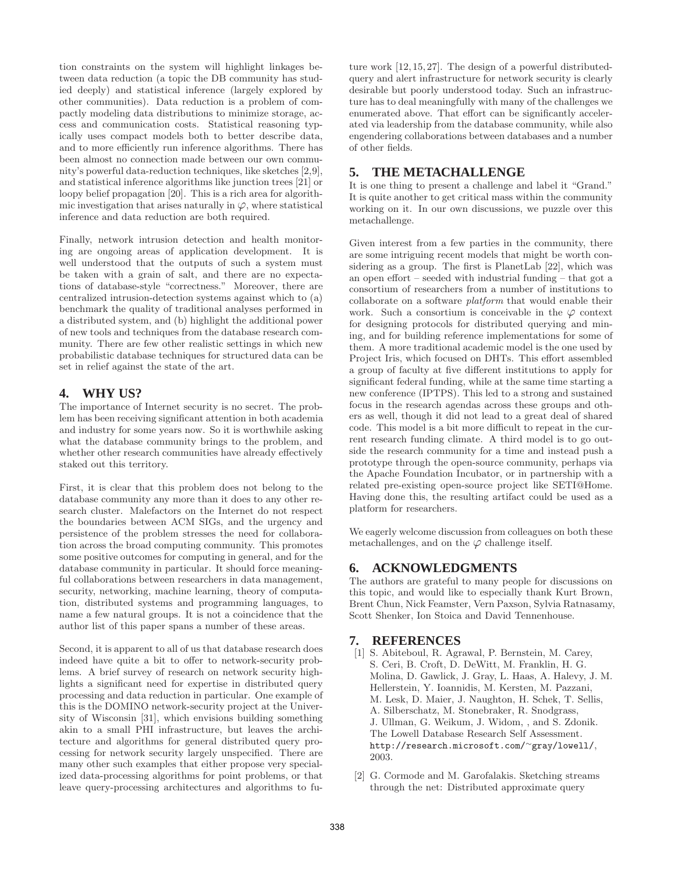tion constraints on the system will highlight linkages between data reduction (a topic the DB community has studied deeply) and statistical inference (largely explored by other communities). Data reduction is a problem of compactly modeling data distributions to minimize storage, access and communication costs. Statistical reasoning typically uses compact models both to better describe data, and to more efficiently run inference algorithms. There has been almost no connection made between our own community's powerful data-reduction techniques, like sketches [2,9], and statistical inference algorithms like junction trees [21] or loopy belief propagation [20]. This is a rich area for algorithmic investigation that arises naturally in  $\varphi$ , where statistical inference and data reduction are both required.

Finally, network intrusion detection and health monitoring are ongoing areas of application development. It is well understood that the outputs of such a system must be taken with a grain of salt, and there are no expectations of database-style "correctness." Moreover, there are centralized intrusion-detection systems against which to (a) benchmark the quality of traditional analyses performed in a distributed system, and (b) highlight the additional power of new tools and techniques from the database research community. There are few other realistic settings in which new probabilistic database techniques for structured data can be set in relief against the state of the art.

# **4. WHY US?**

The importance of Internet security is no secret. The problem has been receiving significant attention in both academia and industry for some years now. So it is worthwhile asking what the database community brings to the problem, and whether other research communities have already effectively staked out this territory.

First, it is clear that this problem does not belong to the database community any more than it does to any other research cluster. Malefactors on the Internet do not respect the boundaries between ACM SIGs, and the urgency and persistence of the problem stresses the need for collaboration across the broad computing community. This promotes some positive outcomes for computing in general, and for the database community in particular. It should force meaningful collaborations between researchers in data management, security, networking, machine learning, theory of computation, distributed systems and programming languages, to name a few natural groups. It is not a coincidence that the author list of this paper spans a number of these areas.

Second, it is apparent to all of us that database research does indeed have quite a bit to offer to network-security problems. A brief survey of research on network security highlights a significant need for expertise in distributed query processing and data reduction in particular. One example of this is the DOMINO network-security project at the University of Wisconsin [31], which envisions building something akin to a small PHI infrastructure, but leaves the architecture and algorithms for general distributed query processing for network security largely unspecified. There are many other such examples that either propose very specialized data-processing algorithms for point problems, or that leave query-processing architectures and algorithms to future work [12, 15, 27]. The design of a powerful distributedquery and alert infrastructure for network security is clearly desirable but poorly understood today. Such an infrastructure has to deal meaningfully with many of the challenges we enumerated above. That effort can be significantly accelerated via leadership from the database community, while also engendering collaborations between databases and a number of other fields.

# **5. THE METACHALLENGE**

It is one thing to present a challenge and label it "Grand." It is quite another to get critical mass within the community working on it. In our own discussions, we puzzle over this metachallenge.

Given interest from a few parties in the community, there are some intriguing recent models that might be worth considering as a group. The first is PlanetLab [22], which was an open effort – seeded with industrial funding – that got a consortium of researchers from a number of institutions to collaborate on a software platform that would enable their work. Such a consortium is conceivable in the  $\varphi$  context for designing protocols for distributed querying and mining, and for building reference implementations for some of them. A more traditional academic model is the one used by Project Iris, which focused on DHTs. This effort assembled a group of faculty at five different institutions to apply for significant federal funding, while at the same time starting a new conference (IPTPS). This led to a strong and sustained focus in the research agendas across these groups and others as well, though it did not lead to a great deal of shared code. This model is a bit more difficult to repeat in the current research funding climate. A third model is to go outside the research community for a time and instead push a prototype through the open-source community, perhaps via the Apache Foundation Incubator, or in partnership with a related pre-existing open-source project like SETI@Home. Having done this, the resulting artifact could be used as a platform for researchers.

We eagerly welcome discussion from colleagues on both these metachallenges, and on the  $\varphi$  challenge itself.

# **6. ACKNOWLEDGMENTS**

The authors are grateful to many people for discussions on this topic, and would like to especially thank Kurt Brown, Brent Chun, Nick Feamster, Vern Paxson, Sylvia Ratnasamy, Scott Shenker, Ion Stoica and David Tennenhouse.

# **7. REFERENCES**

- [1] S. Abiteboul, R. Agrawal, P. Bernstein, M. Carey, S. Ceri, B. Croft, D. DeWitt, M. Franklin, H. G. Molina, D. Gawlick, J. Gray, L. Haas, A. Halevy, J. M. Hellerstein, Y. Ioannidis, M. Kersten, M. Pazzani, M. Lesk, D. Maier, J. Naughton, H. Schek, T. Sellis, A. Silberschatz, M. Stonebraker, R. Snodgrass, J. Ullman, G. Weikum, J. Widom, , and S. Zdonik. The Lowell Database Research Self Assessment. http://research.microsoft.com/<sup>∼</sup>gray/lowell/, 2003.
- [2] G. Cormode and M. Garofalakis. Sketching streams through the net: Distributed approximate query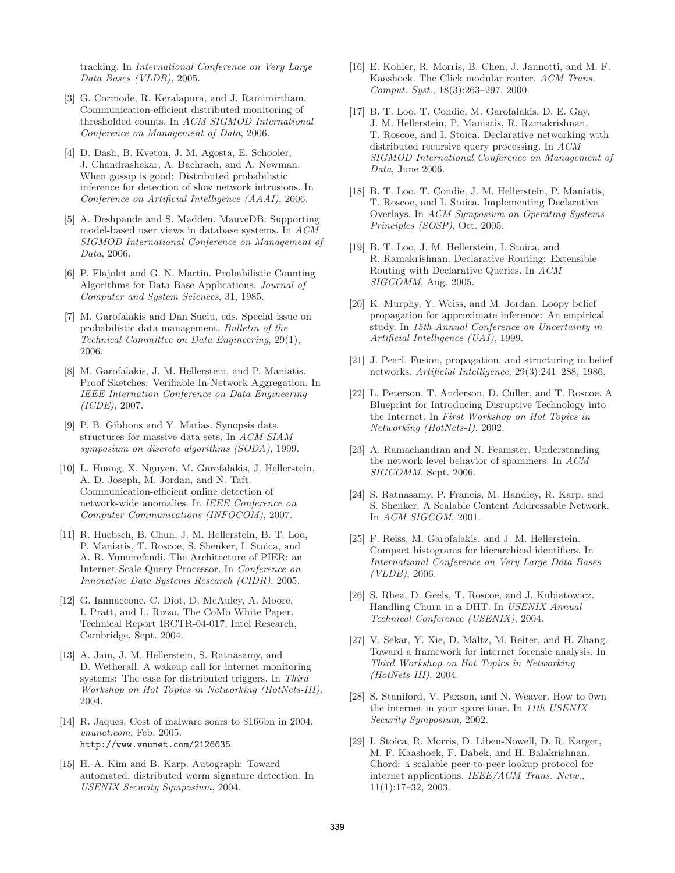tracking. In International Conference on Very Large Data Bases (VLDB), 2005.

- [3] G. Cormode, R. Keralapura, and J. Ramimirtham. Communication-efficient distributed monitoring of thresholded counts. In ACM SIGMOD International Conference on Management of Data, 2006.
- [4] D. Dash, B. Kveton, J. M. Agosta, E. Schooler, J. Chandrashekar, A. Bachrach, and A. Newman. When gossip is good: Distributed probabilistic inference for detection of slow network intrusions. In Conference on Artificial Intelligence (AAAI), 2006.
- [5] A. Deshpande and S. Madden. MauveDB: Supporting model-based user views in database systems. In ACM SIGMOD International Conference on Management of Data, 2006.
- [6] P. Flajolet and G. N. Martin. Probabilistic Counting Algorithms for Data Base Applications. Journal of Computer and System Sciences, 31, 1985.
- [7] M. Garofalakis and Dan Suciu, eds. Special issue on probabilistic data management. Bulletin of the Technical Committee on Data Engineering, 29(1), 2006.
- [8] M. Garofalakis, J. M. Hellerstein, and P. Maniatis. Proof Sketches: Verifiable In-Network Aggregation. In IEEE Internation Conference on Data Engineering (ICDE), 2007.
- [9] P. B. Gibbons and Y. Matias. Synopsis data structures for massive data sets. In ACM-SIAM symposium on discrete algorithms (SODA), 1999.
- [10] L. Huang, X. Nguyen, M. Garofalakis, J. Hellerstein, A. D. Joseph, M. Jordan, and N. Taft. Communication-efficient online detection of network-wide anomalies. In IEEE Conference on Computer Communications (INFOCOM), 2007.
- [11] R. Huebsch, B. Chun, J. M. Hellerstein, B. T. Loo, P. Maniatis, T. Roscoe, S. Shenker, I. Stoica, and A. R. Yumerefendi. The Architecture of PIER: an Internet-Scale Query Processor. In Conference on Innovative Data Systems Research (CIDR), 2005.
- [12] G. Iannaccone, C. Diot, D. McAuley, A. Moore, I. Pratt, and L. Rizzo. The CoMo White Paper. Technical Report IRCTR-04-017, Intel Research, Cambridge, Sept. 2004.
- [13] A. Jain, J. M. Hellerstein, S. Ratnasamy, and D. Wetherall. A wakeup call for internet monitoring systems: The case for distributed triggers. In Third Workshop on Hot Topics in Networking (HotNets-III), 2004.
- [14] R. Jaques. Cost of malware soars to \$166bn in 2004. vnunet.com, Feb. 2005. http://www.vnunet.com/2126635.
- [15] H.-A. Kim and B. Karp. Autograph: Toward automated, distributed worm signature detection. In USENIX Security Symposium, 2004.
- [16] E. Kohler, R. Morris, B. Chen, J. Jannotti, and M. F. Kaashoek. The Click modular router. ACM Trans. Comput. Syst., 18(3):263–297, 2000.
- [17] B. T. Loo, T. Condie, M. Garofalakis, D. E. Gay, J. M. Hellerstein, P. Maniatis, R. Ramakrishnan, T. Roscoe, and I. Stoica. Declarative networking with distributed recursive query processing. In ACM SIGMOD International Conference on Management of Data, June 2006.
- [18] B. T. Loo, T. Condie, J. M. Hellerstein, P. Maniatis, T. Roscoe, and I. Stoica. Implementing Declarative Overlays. In ACM Symposium on Operating Systems Principles (SOSP), Oct. 2005.
- [19] B. T. Loo, J. M. Hellerstein, I. Stoica, and R. Ramakrishnan. Declarative Routing: Extensible Routing with Declarative Queries. In ACM SIGCOMM, Aug. 2005.
- [20] K. Murphy, Y. Weiss, and M. Jordan. Loopy belief propagation for approximate inference: An empirical study. In 15th Annual Conference on Uncertainty in Artificial Intelligence (UAI), 1999.
- [21] J. Pearl. Fusion, propagation, and structuring in belief networks. Artificial Intelligence, 29(3):241–288, 1986.
- [22] L. Peterson, T. Anderson, D. Culler, and T. Roscoe. A Blueprint for Introducing Disruptive Technology into the Internet. In First Workshop on Hot Topics in Networking (HotNets-I), 2002.
- [23] A. Ramachandran and N. Feamster. Understanding the network-level behavior of spammers. In ACM SIGCOMM, Sept. 2006.
- [24] S. Ratnasamy, P. Francis, M. Handley, R. Karp, and S. Shenker. A Scalable Content Addressable Network. In ACM SIGCOM, 2001.
- [25] F. Reiss, M. Garofalakis, and J. M. Hellerstein. Compact histograms for hierarchical identifiers. In International Conference on Very Large Data Bases (VLDB), 2006.
- [26] S. Rhea, D. Geels, T. Roscoe, and J. Kubiatowicz. Handling Churn in a DHT. In USENIX Annual Technical Conference (USENIX), 2004.
- [27] V. Sekar, Y. Xie, D. Maltz, M. Reiter, and H. Zhang. Toward a framework for internet forensic analysis. In Third Workshop on Hot Topics in Networking  $(HotNets-III)$ , 2004.
- [28] S. Staniford, V. Paxson, and N. Weaver. How to 0wn the internet in your spare time. In 11th USENIX Security Symposium, 2002.
- [29] I. Stoica, R. Morris, D. Liben-Nowell, D. R. Karger, M. F. Kaashoek, F. Dabek, and H. Balakrishnan. Chord: a scalable peer-to-peer lookup protocol for internet applications. IEEE/ACM Trans. Netw., 11(1):17–32, 2003.